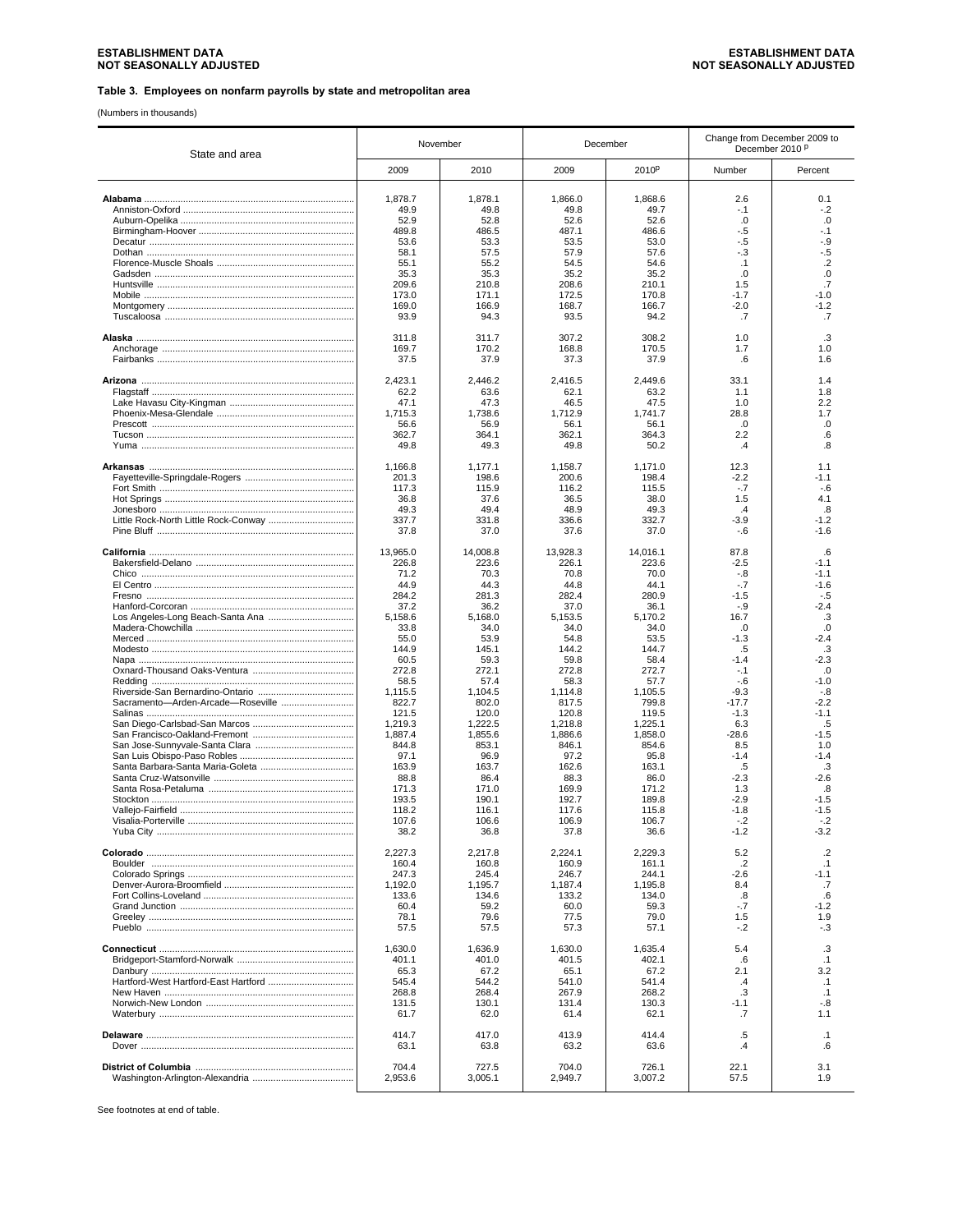(Numbers in thousands)

| State and area                       |          | November |          | December          | Change from December 2009 to<br>December 2010 P |                |
|--------------------------------------|----------|----------|----------|-------------------|-------------------------------------------------|----------------|
|                                      | 2009     | 2010     | 2009     | 2010 <sup>p</sup> | Number                                          | Percent        |
|                                      | 1,878.7  | 1,878.1  | 1,866.0  | 1,868.6           | 2.6                                             | 0.1            |
|                                      | 49.9     | 49.8     | 49.8     | 49.7              | $-1$                                            | $-.2$          |
|                                      | 52.9     | 52.8     | 52.6     | 52.6              | .0                                              | .0             |
|                                      | 489.8    | 486.5    | 487.1    | 486.6             | -.5                                             | -.1            |
|                                      | 53.6     | 53.3     | 53.5     | 53.0              | -.5                                             | -.9            |
|                                      | 58.1     | 57.5     | 57.9     | 57.6              | $-.3$                                           | $-5$           |
|                                      | 55.1     | 55.2     | 54.5     | 54.6              | .1                                              | $\overline{2}$ |
|                                      | 35.3     | 35.3     | 35.2     | 35.2              | .0                                              | .0             |
|                                      | 209.6    | 210.8    | 208.6    | 210.1             | 1.5                                             | .7             |
|                                      | 173.0    | 171.1    | 172.5    | 170.8             | $-1.7$                                          | $-1.0$         |
|                                      | 169.0    | 166.9    | 168.7    | 166.7             | $-2.0$                                          | $-1.2$         |
|                                      | 93.9     | 94.3     | 93.5     | 94.2              | .7                                              | .7             |
|                                      | 311.8    | 311.7    | 307.2    | 308.2             | 1.0                                             | .3             |
|                                      | 169.7    | 170.2    | 168.8    | 170.5             | 1.7                                             | 1.0            |
|                                      | 37.5     | 37.9     | 37.3     | 37.9              | .6                                              | 1.6            |
|                                      | 2,423.1  | 2,446.2  | 2,416.5  | 2,449.6           | 33.1                                            | 1.4            |
|                                      | 62.2     | 63.6     | 62.1     | 63.2              | 1.1                                             | 1.8            |
|                                      | 47.1     | 47.3     | 46.5     | 47.5              | 1.0                                             | 2.2            |
|                                      | 1,715.3  | 1,738.6  | 1,712.9  | 1.741.7           | 28.8                                            | 1.7            |
|                                      | 56.6     | 56.9     | 56.1     | 56.1              | .0                                              | .0             |
|                                      | 362.7    | 364.1    | 362.1    | 364.3             | 2.2                                             | .6             |
|                                      | 49.8     | 49.3     | 49.8     | 50.2              | $\cdot$                                         | .8             |
|                                      | 1,166.8  | 1,177.1  | 1,158.7  | 1.171.0           | 12.3                                            | 1.1            |
|                                      | 201.3    | 198.6    | 200.6    | 198.4             | $-2.2$                                          | $-1.1$         |
|                                      | 117.3    | 115.9    | 116.2    | 115.5             | $-.7$                                           | $-6$           |
|                                      | 36.8     | 37.6     | 36.5     | 38.0              | 1.5                                             | 4.1            |
|                                      | 49.3     | 49.4     | 48.9     | 49.3              | $\cdot$ 4                                       | .8             |
| Little Rock-North Little Rock-Conway | 337.7    | 331.8    | 336.6    | 332.7             | $-3.9$                                          | $-1.2$         |
|                                      | 37.8     | 37.0     | 37.6     | 37.0              | $-6$                                            | $-1.6$         |
|                                      | 13,965.0 | 14,008.8 | 13,928.3 | 14.016.1          | 87.8                                            | .6             |
|                                      | 226.8    | 223.6    | 226.1    | 223.6             | $-2.5$                                          | $-1.1$         |
|                                      | 71.2     | 70.3     | 70.8     | 70.0              | $-.8$                                           | $-1.1$         |
|                                      | 44.9     | 44.3     | 44.8     | 44.1              | $-.7$                                           | $-1.6$         |
|                                      | 284.2    | 281.3    | 282.4    | 280.9             | $-1.5$                                          | $-.5$          |
|                                      | 37.2     | 36.2     | 37.0     | 36.1              | $-.9$                                           | $-2.4$         |
|                                      | 5,158.6  | 5,168.0  | 5,153.5  | 5,170.2           | 16.7                                            | .3             |
|                                      | 33.8     | 34.0     | 34.0     | 34.0              | .0                                              | .0             |
|                                      | 55.0     | 53.9     | 54.8     | 53.5              | $-1.3$                                          | -2.4           |
|                                      | 144.9    | 145.1    | 144.2    | 144.7             | .5                                              | .3             |
|                                      | 60.5     | 59.3     | 59.8     | 58.4              | $-1.4$                                          | $-2.3$         |
|                                      | 272.8    | 272.1    | 272.8    | 272.7             | $-.1$                                           | .0             |
|                                      | 58.5     | 57.4     | 58.3     | 57.7              | $-6$                                            | $-1.0$         |
|                                      | 1,115.5  | 1,104.5  | 1,114.8  | 1,105.5           | $-9.3$                                          | $-.8$          |
| Sacramento-Arden-Arcade-Roseville    | 822.7    | 802.0    | 817.5    | 799.8             | $-17.7$                                         | $-2.2$         |
|                                      | 121.5    | 120.0    | 120.8    | 119.5             | $-1.3$                                          | $-1.1$         |
|                                      | 1,219.3  | 1,222.5  | 1,218.8  | 1,225.1           | 6.3                                             | .5             |
|                                      | 1,887.4  | 1,855.6  | 1,886.6  | 1,858.0           | $-28.6$                                         | $-1.5$         |
|                                      | 844.8    | 853.1    | 846.1    | 854.6             | 8.5                                             | 1.0            |
|                                      | 97.1     | 96.9     | 97.2     | 95.8              | $-1.4$                                          | $-1.4$         |
|                                      | 163.9    | 163.7    | 162.6    | 163.1             | .5                                              | .3             |
|                                      | 88.8     | 86.4     | 88.3     | 86.0              | $-2.3$                                          | $-2.6$         |
|                                      | 171.3    | 171.0    | 169.9    | 171.2             | 1.3                                             | 8.             |
|                                      | 193.5    | 190.1    | 192.7    | 189.8             | $-2.9$                                          | $-1.5$         |
|                                      | 118.2    | 116.1    | 117.6    | 115.8             | $-1.8$                                          | $-1.5$         |
| Visalia-Porterville.                 | 107.6    | 106.6    | 106.9    | 106.7             | $-.2$                                           | - 2            |
|                                      | 38.2     | 36.8     | 37.8     | 36.6              | $-1.2$                                          | $-3.2$         |
|                                      | 2,227.3  | 2,217.8  | 2,224.1  | 2,229.3           | 5.2                                             | $\cdot$        |
|                                      | 160.4    | 160.8    | 160.9    | 161.1             | $.2\phantom{0}$                                 | .1             |
|                                      | 247.3    | 245.4    | 246.7    | 244.1             | $-2.6$                                          | -1.1           |
|                                      | 1,192.0  | 1,195.7  | 1,187.4  | 1,195.8           | 8.4                                             | .7             |
|                                      | 133.6    | 134.6    | 133.2    | 134.0             | .8                                              | .6             |
|                                      | 60.4     | 59.2     | 60.0     | 59.3              | $-.7$                                           | $-1.2$         |
|                                      | 78.1     | 79.6     | 77.5     | 79.0              | 1.5                                             | 1.9            |
|                                      | 57.5     | 57.5     | 57.3     | 57.1              | $-.2$                                           | $-.3$          |
|                                      | 1.630.0  | 1,636.9  | 1,630.0  | 1,635.4           | 5.4                                             | .3             |
|                                      | 401.1    | 401.0    | 401.5    | 402.1             | .6                                              | $\cdot$ 1      |
|                                      | 65.3     | 67.2     | 65.1     | 67.2              | 2.1                                             | 3.2            |
|                                      | 545.4    | 544.2    | 541.0    | 541.4             | $\cdot$                                         | $\cdot$ 1      |
|                                      | 268.8    | 268.4    | 267.9    | 268.2             | .3                                              | $\cdot$ 1      |
|                                      | 131.5    | 130.1    | 131.4    | 130.3             | $-1.1$                                          | $-.8$          |
|                                      | 61.7     | 62.0     | 61.4     | 62.1              | .7                                              | 1.1            |
|                                      | 414.7    | 417.0    | 413.9    | 414.4             | .5                                              | $\cdot$ 1      |
|                                      | 63.1     | 63.8     | 63.2     | 63.6              | $\cdot$                                         | .6             |
|                                      | 704.4    | 727.5    | 704.0    | 726.1             | 22.1                                            | 3.1            |
|                                      | 2,953.6  | 3,005.1  | 2,949.7  | 3,007.2           | 57.5                                            | 1.9            |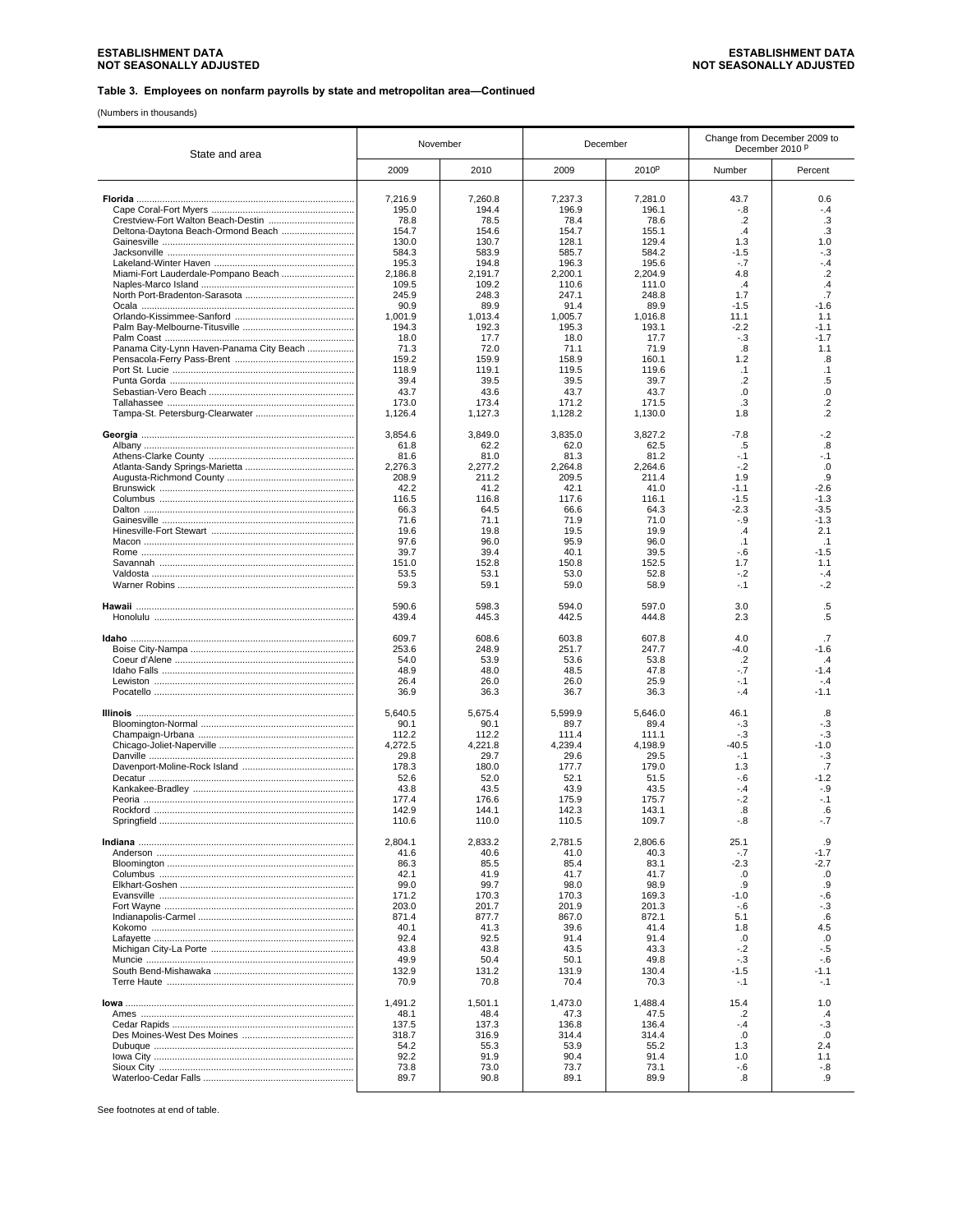(Numbers in thousands)

| State and area                             |                  | November         | December         |                  | Change from December 2009 to<br>December 2010 P |                  |
|--------------------------------------------|------------------|------------------|------------------|------------------|-------------------------------------------------|------------------|
|                                            | 2009             | 2010             | 2009             | 2010P            | Number                                          | Percent          |
|                                            | 7,216.9          | 7,260.8          | 7,237.3          | 7,281.0          | 43.7                                            | 0.6              |
|                                            | 195.0            | 194.4            | 196.9            | 196.1            | $-8$                                            | -.4              |
| Crestview-Fort Walton Beach-Destin         | 78.8             | 78.5             | 78.4             | 78.6             | $\cdot$ .2                                      | .3               |
| Deltona-Daytona Beach-Ormond Beach         | 154.7            | 154.6            | 154.7            | 155.1            | .4                                              | .3               |
|                                            | 130.0            | 130.7            | 128.1            | 129.4            | 1.3                                             | 1.0              |
|                                            | 584.3<br>195.3   | 583.9<br>194.8   | 585.7<br>196.3   | 584.2<br>195.6   | $-1.5$<br>$-.7$                                 | -.3<br>$-4$      |
| Miami-Fort Lauderdale-Pompano Beach        | 2,186.8          | 2,191.7          | 2,200.1          | 2,204.9          | 4.8                                             | $\overline{2}$   |
|                                            | 109.5            | 109.2            | 110.6            | 111.0            | .4                                              | .4               |
|                                            | 245.9            | 248.3            | 247.1            | 248.8            | 1.7                                             | .7               |
|                                            | 90.9             | 89.9             | 91.4             | 89.9             | $-1.5$                                          | $-1.6$           |
|                                            | 1,001.9<br>194.3 | 1,013.4<br>192.3 | 1,005.7<br>195.3 | 1,016.8<br>193.1 | 11.1<br>$-2.2$                                  | 1.1<br>$-1.1$    |
|                                            | 18.0             | 17.7             | 18.0             | 17.7             | $-.3$                                           | $-1.7$           |
| Panama City-Lynn Haven-Panama City Beach   | 71.3             | 72.0             | 71.1             | 71.9             | .8                                              | 1.1              |
|                                            | 159.2            | 159.9            | 158.9            | 160.1            | 1.2                                             | .8               |
|                                            | 118.9            | 119.1            | 119.5            | 119.6            | $\cdot$ 1                                       | $\cdot$ 1        |
|                                            | 39.4<br>43.7     | 39.5<br>43.6     | 39.5<br>43.7     | 39.7<br>43.7     | $\cdot$ .2<br>.0                                | .5<br>.0         |
|                                            | 173.0            | 173.4            | 171.2            | 171.5            | .3                                              | $\overline{2}$   |
|                                            | 1,126.4          | 1,127.3          | 1,128.2          | 1,130.0          | 1.8                                             | $\overline{2}$   |
|                                            | 3,854.6          | 3,849.0          | 3,835.0          | 3,827.2          | $-7.8$                                          | $-2$             |
|                                            | 61.8<br>81.6     | 62.2<br>81.0     | 62.0<br>81.3     | 62.5<br>81.2     | .5<br>$-.1$                                     | .8<br>-.1        |
|                                            | 2,276.3          | 2,277.2          | 2,264.8          | 2.264.6          | $-.2$                                           | .0               |
|                                            | 208.9            | 211.2            | 209.5            | 211.4            | 1.9                                             | .9               |
|                                            | 42.2             | 41.2             | 42.1             | 41.0             | $-1.1$                                          | $-2.6$           |
|                                            | 116.5            | 116.8            | 117.6            | 116.1            | $-1.5$                                          | $-1.3$           |
|                                            | 66.3<br>71.6     | 64.5<br>71.1     | 66.6<br>71.9     | 64.3<br>71.0     | $-2.3$<br>$-9$                                  | $-3.5$<br>$-1.3$ |
|                                            | 19.6             | 19.8             | 19.5             | 19.9             | .4                                              | 2.1              |
|                                            | 97.6             | 96.0             | 95.9             | 96.0             | .1                                              | .1               |
|                                            | 39.7             | 39.4             | 40.1             | 39.5             | $-6$                                            | $-1.5$           |
|                                            | 151.0            | 152.8            | 150.8            | 152.5            | 1.7                                             | 1.1              |
|                                            | 53.5<br>59.3     | 53.1<br>59.1     | 53.0<br>59.0     | 52.8<br>58.9     | $-.2$<br>$-.1$                                  | $-.4$<br>$-2$    |
|                                            | 590.6            | 598.3            | 594.0            | 597.0            | 3.0                                             | $.5\,$           |
|                                            | 439.4            | 445.3            | 442.5            | 444.8            | 2.3                                             | $.5\,$           |
|                                            | 609.7            | 608.6            | 603.8            | 607.8            | 4.0                                             | .7               |
|                                            | 253.6            | 248.9            | 251.7            | 247.7            | $-4.0$                                          | $-1.6$           |
|                                            | 54.0             | 53.9             | 53.6             | 53.8             | $\cdot$ .2                                      | $\overline{4}$   |
|                                            | 48.9             | 48.0             | 48.5             | 47.8             | $-7$                                            | $-1.4$           |
|                                            | 26.4<br>36.9     | 26.0<br>36.3     | 26.0<br>36.7     | 25.9<br>36.3     | $-.1$<br>-.4                                    | $-.4$<br>-1.1    |
| <u>Illinois ……………………………………………………………………</u> | 5,640.5          | 5,675.4          | 5.599.9          | 5,646.0          | 46.1                                            | .8               |
|                                            | 90.1             | 90.1             | 89.7             | 89.4             | $-3$                                            | $-.3$            |
|                                            | 112.2            | 112.2            | 111.4            | 111.1            | $-3$                                            | $-.3$            |
|                                            | 4,272.5          | 4,221.8          | 4,239.4          | 4,198.9          | $-40.5$                                         | $-1.0$           |
|                                            | 29.8<br>178.3    | 29.7<br>180.0    | 29.6<br>177.7    | 29.5<br>179.0    | $-.1$<br>1.3                                    | $-.3$<br>.7      |
|                                            | 52.6             | 52.0             | 52.1             | 51.5             | $-6$                                            | $-1.2$           |
|                                            | 43.8             | 43.5             | 43.9             | 43.5             | $-.4$                                           | -.9              |
|                                            | 177.4            | 176.6            | 175.9            | 175.7            | $-.2$                                           | $-.1$            |
| Springfield                                | 142.9            | 144.1            | 142.3            | 143.1            | .8<br>-.8                                       | .6<br>7          |
|                                            | 110.6            | 110.0            | 110.5            | 109.7            |                                                 |                  |
|                                            | 2,804.1<br>41.6  | 2,833.2<br>40.6  | 2,781.5<br>41.0  | 2,806.6<br>40.3  | 25.1<br>$-.7$                                   | .9<br>$-1.7$     |
|                                            | 86.3             | 85.5             | 85.4             | 83.1             | $-2.3$                                          | $-2.7$           |
|                                            | 42.1             | 41.9             | 41.7             | 41.7             | .0                                              | .0               |
|                                            | 99.0             | 99.7             | 98.0             | 98.9             | .9                                              | .9               |
|                                            | 171.2            | 170.3            | 170.3            | 169.3            | $-1.0$                                          | $-6$             |
|                                            | 203.0            | 201.7            | 201.9            | 201.3            | -.6                                             | $-.3$            |
|                                            | 871.4<br>40.1    | 877.7<br>41.3    | 867.0<br>39.6    | 872.1<br>41.4    | 5.1<br>1.8                                      | .6<br>4.5        |
|                                            | 92.4             | 92.5             | 91.4             | 91.4             | .0                                              | .0               |
|                                            | 43.8             | 43.8             | 43.5             | 43.3             | $-.2$                                           | $-.5$            |
|                                            | 49.9             | 50.4             | 50.1             | 49.8             | $-.3$                                           | $-6$             |
|                                            | 132.9<br>70.9    | 131.2<br>70.8    | 131.9<br>70.4    | 130.4<br>70.3    | $-1.5$<br>$-.1$                                 | $-1.1$<br>$-.1$  |
|                                            | 1,491.2          | 1,501.1          | 1,473.0          | 1,488.4          | 15.4                                            | 1.0              |
|                                            | 48.1             | 48.4             | 47.3             | 47.5             | $\cdot$                                         | $\cdot$          |
|                                            | 137.5            | 137.3            | 136.8            | 136.4            | $-.4$                                           | $-.3$            |
|                                            | 318.7            | 316.9            | 314.4            | 314.4            | .0                                              | .0               |
|                                            | 54.2<br>92.2     | 55.3<br>91.9     | 53.9<br>90.4     | 55.2<br>91.4     | 1.3<br>1.0                                      | 2.4<br>1.1       |
|                                            | 73.8             | 73.0             | 73.7             | 73.1             | -.6                                             | -.8              |
|                                            | 89.7             | 90.8             | 89.1             | 89.9             | .8                                              | .9               |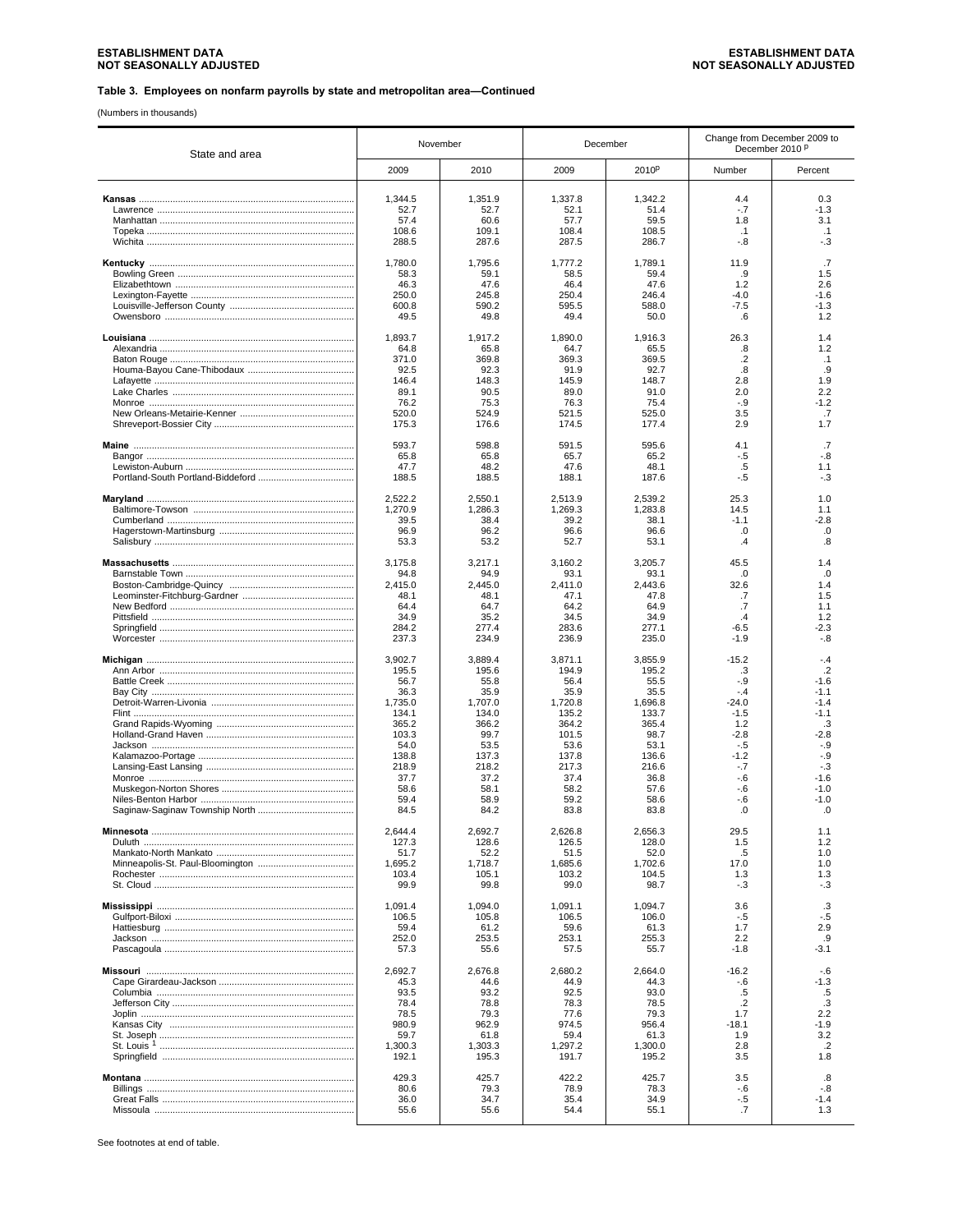(Numbers in thousands)

| State and area | November |         | December |         | Change from December 2009 to<br>December 2010 P |                 |
|----------------|----------|---------|----------|---------|-------------------------------------------------|-----------------|
|                | 2009     | 2010    | 2009     | 2010P   | Number                                          | Percent         |
|                | 1,344.5  | 1,351.9 | 1,337.8  | 1,342.2 | 4.4                                             | 0.3             |
|                | 52.7     | 52.7    | 52.1     | 51.4    | $-.7$                                           | $-1.3$          |
|                | 57.4     | 60.6    | 57.7     | 59.5    | 1.8                                             | 3.1             |
|                | 108.6    | 109.1   | 108.4    | 108.5   | $\cdot$ 1                                       | $\cdot$ 1       |
|                | 288.5    | 287.6   | 287.5    | 286.7   | -.8                                             | -.3             |
|                | 1,780.0  | 1,795.6 | 1,777.2  | 1,789.1 | 11.9                                            | .7              |
|                | 58.3     | 59.1    | 58.5     | 59.4    | .9                                              | 1.5             |
|                | 46.3     | 47.6    | 46.4     | 47.6    | 1.2                                             | 2.6             |
|                | 250.0    | 245.8   | 250.4    | 246.4   | $-4.0$                                          | $-1.6$          |
|                | 600.8    | 590.2   | 595.5    | 588.0   | $-7.5$                                          | $-1.3$          |
|                | 49.5     | 49.8    | 49.4     | 50.0    | .6                                              | 1.2             |
|                | 1,893.7  | 1,917.2 | 1,890.0  | 1,916.3 | 26.3                                            | 1.4             |
|                | 64.8     | 65.8    | 64.7     | 65.5    | .8                                              | 1.2             |
|                | 371.0    | 369.8   | 369.3    | 369.5   | $\cdot$ .2                                      | $\cdot$ 1       |
|                | 92.5     | 92.3    | 91.9     | 92.7    | .8                                              | .9              |
|                | 146.4    | 148.3   | 145.9    | 148.7   | 2.8                                             | 1.9             |
|                | 89.1     | 90.5    | 89.0     | 91.0    | 2.0                                             | 2.2             |
|                | 76.2     | 75.3    | 76.3     | 75.4    | -.9                                             | $-1.2$          |
|                | 520.0    | 524.9   | 521.5    | 525.0   | 3.5                                             | .7              |
|                | 175.3    | 176.6   | 174.5    | 177.4   | 2.9                                             | 1.7             |
|                | 593.7    | 598.8   | 591.5    | 595.6   | 4.1                                             | .7              |
|                | 65.8     | 65.8    | 65.7     | 65.2    | $-.5$                                           | $-8$            |
|                | 47.7     | 48.2    | 47.6     | 48.1    | .5                                              | 1.1             |
|                | 188.5    | 188.5   | 188.1    | 187.6   | -.5                                             | -.3             |
|                | 2,522.2  | 2,550.1 | 2,513.9  | 2,539.2 | 25.3                                            | 1.0             |
|                | 1,270.9  | 1,286.3 | 1,269.3  | 1.283.8 | 14.5                                            | 1.1             |
|                | 39.5     | 38.4    | 39.2     | 38.1    | $-1.1$                                          | $-2.8$          |
|                | 96.9     | 96.2    | 96.6     | 96.6    | .0                                              | .0              |
|                | 53.3     | 53.2    | 52.7     | 53.1    | $\cdot$                                         | .8              |
|                | 3,175.8  | 3,217.1 | 3,160.2  | 3.205.7 | 45.5                                            | 1.4             |
|                | 94.8     | 94.9    | 93.1     | 93.1    | .0                                              | $\Omega$        |
|                | 2,415.0  | 2.445.0 | 2,411.0  | 2,443.6 | 32.6                                            | 1.4             |
|                | 48.1     | 48.1    | 47.1     | 47.8    | .7                                              | 1.5             |
|                | 64.4     | 64.7    | 64.2     | 64.9    | .7                                              | 1.1             |
|                | 34.9     | 35.2    | 34.5     | 34.9    | $\cdot$                                         | 1.2             |
|                | 284.2    | 277.4   | 283.6    | 277.1   | $-6.5$                                          | $-2.3$          |
|                | 237.3    | 234.9   | 236.9    | 235.0   | $-1.9$                                          | $-0.8$          |
|                | 3,902.7  | 3,889.4 | 3,871.1  | 3,855.9 | $-15.2$                                         | $-.4$           |
|                | 195.5    | 195.6   | 194.9    | 195.2   | .3                                              | $\overline{2}$  |
|                | 56.7     | 55.8    | 56.4     | 55.5    | $-.9$                                           | $-1.6$          |
|                | 36.3     | 35.9    | 35.9     | 35.5    | $-.4$                                           | $-1.1$          |
|                | 1,735.0  | 1,707.0 | 1,720.8  | 1,696.8 | $-24.0$                                         | $-1.4$          |
|                | 134.1    | 134.0   | 135.2    | 133.7   | $-1.5$                                          | $-1.1$          |
|                | 365.2    | 366.2   | 364.2    | 365.4   | 1.2                                             | .3              |
|                | 103.3    | 99.7    | 101.5    | 98.7    | $-2.8$                                          | $-2.8$          |
|                | 54.0     | 53.5    | 53.6     | 53.1    | $-.5$                                           | $-9$            |
|                | 138.8    | 137.3   | 137.8    | 136.6   | $-1.2$                                          | $-.9$           |
|                | 218.9    | 218.2   | 217.3    | 216.6   | $-.7$                                           | $-3$            |
|                | 37.7     | 37.2    | 37.4     | 36.8    | $-6$                                            | $-1.6$          |
|                | 58.6     | 58.1    | 58.2     | 57.6    | $-6$                                            | $-1.0$          |
|                | 59.4     | 58.9    | 59.2     | 58.6    | $-6$                                            | $-1.0$          |
|                | 84.5     | 84.2    | 83.8     | 83.8    | .0                                              | .0              |
|                | 2.644.4  | 2,692.7 | 2,626.8  | 2,656.3 | 29.5                                            | 1.1             |
|                | 127.3    | 128.6   | 126.5    | 128.0   | 1.5                                             | 1.2             |
|                | 51.7     | 52.2    | 51.5     | 52.0    | .5                                              | 1.0             |
|                | 1,695.2  | 1.718.7 | 1,685.6  | 1,702.6 | 17.0                                            | 1.0             |
|                | 103.4    | 105.1   | 103.2    | 104.5   | 1.3                                             | 1.3             |
|                | 99.9     | 99.8    | 99.0     | 98.7    | $-.3$                                           | $-3$            |
|                | 1,091.4  | 1.094.0 | 1,091.1  | 1,094.7 | 3.6                                             | .3              |
|                | 106.5    | 105.8   | 106.5    | 106.0   | $-.5$                                           | $-.5$           |
|                | 59.4     | 61.2    | 59.6     | 61.3    | 1.7                                             | 2.9             |
|                | 252.0    | 253.5   | 253.1    | 255.3   | 2.2                                             | .9              |
|                | 57.3     | 55.6    | 57.5     | 55.7    | $-1.8$                                          | $-3.1$          |
|                | 2,692.7  | 2,676.8 | 2,680.2  | 2,664.0 | $-16.2$                                         | -.6             |
|                | 45.3     | 44.6    | 44.9     | 44.3    | $-.6$                                           | $-1.3$          |
|                | 93.5     | 93.2    | 92.5     | 93.0    | .5                                              | .5              |
|                | 78.4     | 78.8    | 78.3     | 78.5    | $\cdot$                                         | .3              |
|                | 78.5     | 79.3    | 77.6     | 79.3    | 1.7                                             | 2.2             |
|                | 980.9    | 962.9   | 974.5    | 956.4   | $-18.1$                                         | $-1.9$          |
|                | 59.7     | 61.8    | 59.4     | 61.3    | 1.9                                             | 3.2             |
|                | 1,300.3  | 1,303.3 | 1,297.2  | 1,300.0 | 2.8                                             | $.2\phantom{0}$ |
|                | 192.1    | 195.3   | 191.7    | 195.2   | 3.5                                             | 1.8             |
|                | 429.3    | 425.7   | 422.2    | 425.7   | 3.5                                             | .8              |
|                | 80.6     | 79.3    | 78.9     | 78.3    | $-.6$                                           | $-0.8$          |
|                | 36.0     | 34.7    | 35.4     | 34.9    | -.5                                             | $-1.4$          |
|                | 55.6     | 55.6    | 54.4     | 55.1    | .7                                              | 1.3             |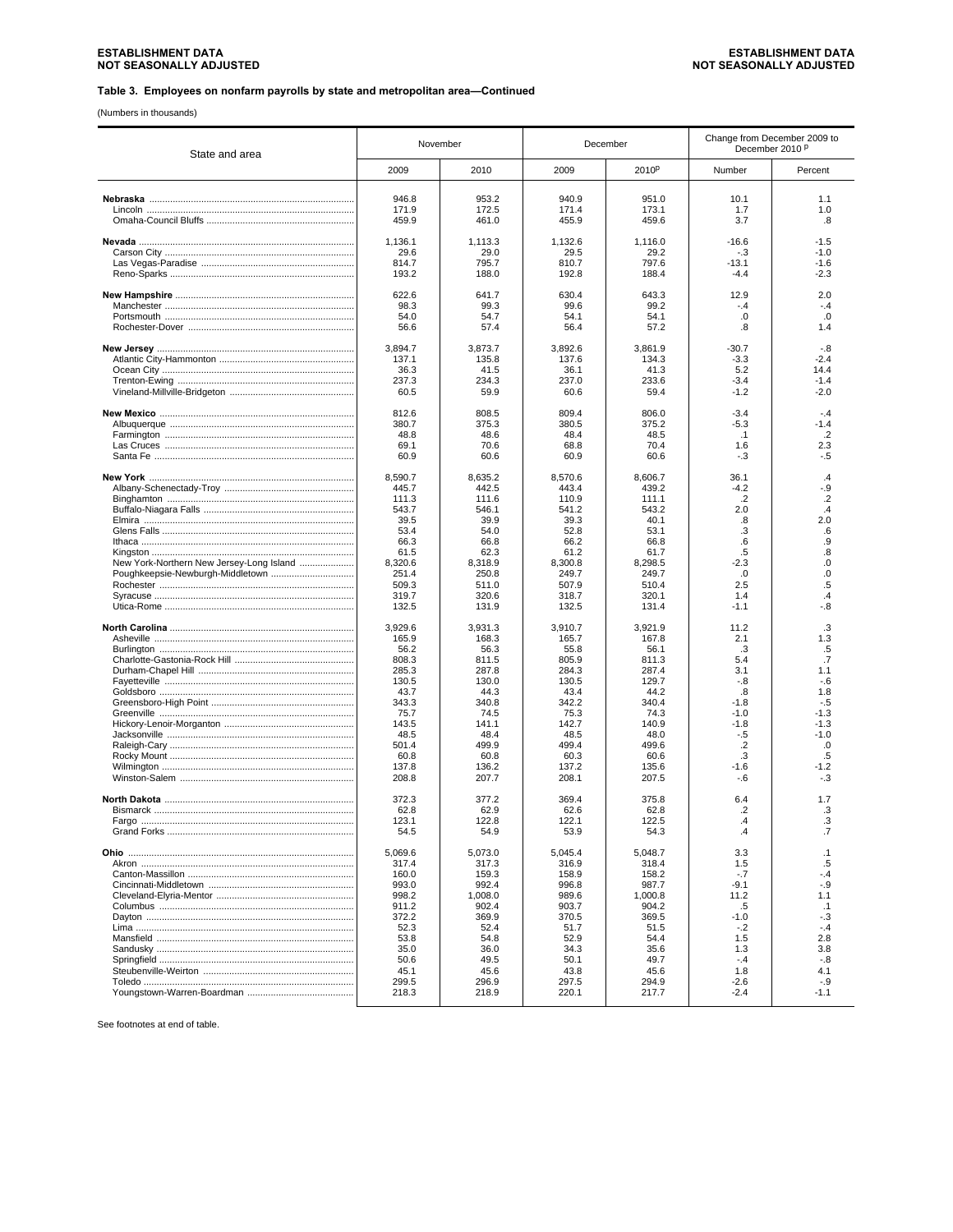(Numbers in thousands)

| State and area                           |                  | November         |                  | December          |                          | Change from December 2009 to<br>December 2010 P |  |
|------------------------------------------|------------------|------------------|------------------|-------------------|--------------------------|-------------------------------------------------|--|
|                                          | 2009             | 2010             | 2009             | 2010 <sup>p</sup> | Number                   | Percent                                         |  |
|                                          | 946.8            | 953.2            | 940.9            | 951.0             | 10.1                     | 1.1                                             |  |
|                                          | 171.9            | 172.5            | 171.4            | 173.1             | 1.7                      | 1.0                                             |  |
|                                          | 459.9            | 461.0            | 455.9            | 459.6             | 3.7                      | .8                                              |  |
|                                          | 1,136.1          | 1,113.3          | 1,132.6          | 1,116.0           | $-16.6$                  | $-1.5$                                          |  |
|                                          | 29.6<br>814.7    | 29.0<br>795.7    | 29.5<br>810.7    | 29.2<br>797.6     | $-.3$<br>$-13.1$         | $-1.0$<br>$-1.6$                                |  |
|                                          | 193.2            | 188.0            | 192.8            | 188.4             | $-4.4$                   | $-2.3$                                          |  |
|                                          | 622.6            | 641.7            | 630.4            | 643.3             | 12.9                     | 2.0                                             |  |
|                                          | 98.3             | 99.3             | 99.6             | 99.2              | $-.4$                    | $-.4$                                           |  |
|                                          | 54.0<br>56.6     | 54.7<br>57.4     | 54.1<br>56.4     | 54.1<br>57.2      | .0<br>.8                 | .0<br>1.4                                       |  |
|                                          |                  |                  |                  |                   |                          |                                                 |  |
|                                          | 3,894.7          | 3,873.7          | 3,892.6          | 3,861.9           | $-30.7$                  | -.8                                             |  |
|                                          | 137.1            | 135.8            | 137.6            | 134.3             | $-3.3$                   | $-2.4$                                          |  |
|                                          | 36.3<br>237.3    | 41.5<br>234.3    | 36.1<br>237.0    | 41.3<br>233.6     | 5.2<br>$-3.4$            | 14.4<br>$-1.4$                                  |  |
|                                          | 60.5             | 59.9             | 60.6             | 59.4              | $-1.2$                   | $-2.0$                                          |  |
|                                          |                  |                  |                  |                   |                          |                                                 |  |
|                                          | 812.6<br>380.7   | 808.5<br>375.3   | 809.4<br>380.5   | 806.0<br>375.2    | $-3.4$<br>-5.3           | $-4$<br>-1.4                                    |  |
|                                          | 48.8             | 48.6             | 48.4             | 48.5              | $\cdot$ 1                | .2                                              |  |
|                                          | 69.1             | 70.6             | 68.8             | 70.4              | 1.6                      | 2.3                                             |  |
|                                          | 60.9             | 60.6             | 60.9             | 60.6              | $-.3$                    | -.5                                             |  |
|                                          | 8,590.7          | 8.635.2          | 8.570.6          | 8.606.7           | 36.1                     | .4                                              |  |
|                                          | 445.7<br>111.3   | 442.5            | 443.4<br>110.9   | 439.2             | $-4.2$<br>$\cdot$        | -.9                                             |  |
|                                          | 543.7            | 111.6<br>546.1   | 541.2            | 111.1<br>543.2    | 2.0                      | .2<br>$\cdot$ 4                                 |  |
|                                          | 39.5             | 39.9             | 39.3             | 40.1              | .8                       | 2.0                                             |  |
|                                          | 53.4             | 54.0             | 52.8             | 53.1              | .3                       | .6                                              |  |
|                                          | 66.3             | 66.8             | 66.2             | 66.8              | .6                       | .9                                              |  |
| New York-Northern New Jersey-Long Island | 61.5<br>8,320.6  | 62.3<br>8,318.9  | 61.2<br>8,300.8  | 61.7<br>8,298.5   | .5<br>$-2.3$             | 8.<br>0.                                        |  |
|                                          | 251.4            | 250.8            | 249.7            | 249.7             | .0                       | .0                                              |  |
|                                          | 509.3            | 511.0            | 507.9            | 510.4             | 2.5                      | .5                                              |  |
|                                          | 319.7<br>132.5   | 320.6<br>131.9   | 318.7<br>132.5   | 320.1<br>131.4    | 1.4<br>$-1.1$            | $\mathcal{A}$<br>-.8                            |  |
|                                          |                  |                  |                  |                   |                          |                                                 |  |
|                                          | 3,929.6<br>165.9 | 3,931.3<br>168.3 | 3,910.7<br>165.7 | 3,921.9<br>167.8  | 11.2<br>2.1              | .3<br>1.3                                       |  |
|                                          | 56.2             | 56.3             | 55.8             | 56.1              | .3                       | .5                                              |  |
|                                          | 808.3            | 811.5            | 805.9            | 811.3             | 5.4                      | $\cdot$                                         |  |
|                                          | 285.3            | 287.8            | 284.3            | 287.4             | 3.1                      | 1.1                                             |  |
|                                          | 130.5<br>43.7    | 130.0<br>44.3    | 130.5<br>43.4    | 129.7<br>44.2     | $-.8$<br>.8              | $-6$<br>1.8                                     |  |
|                                          | 343.3            | 340.8            | 342.2            | 340.4             | $-1.8$                   | $-5$                                            |  |
|                                          | 75.7             | 74.5             | 75.3             | 74.3              | $-1.0$                   | $-1.3$                                          |  |
|                                          | 143.5            | 141.1            | 142.7            | 140.9             | $-1.8$                   | $-1.3$                                          |  |
|                                          | 48.5<br>501.4    | 48.4<br>499.9    | 48.5<br>499.4    | 48.0<br>499.6     | $-.5$<br>$.2\phantom{0}$ | $-1.0$<br>.0                                    |  |
|                                          | 60.8             | 60.8             | 60.3             | 60.6              | .3                       | .5                                              |  |
|                                          | 137.8            | 136.2            | 137.2            | 135.6             | $-1.6$                   | $-1.2$                                          |  |
|                                          | 208.8            | 207.7            | 208.1            | 207.5             | $-.6$                    | $-3$                                            |  |
|                                          | 372.3            | 377.2            | 369.4            | 375.8             | 6.4                      | 1.7                                             |  |
|                                          | 62.8             | 62.9             | 62.6             | 62.8              | .2                       | .3                                              |  |
| Fargo                                    | 123.1<br>54.5    | 122.8<br>54.9    | 122.1<br>53.9    | 122.5<br>54.3     | 4<br>.4                  | 3<br>.7                                         |  |
|                                          |                  |                  |                  |                   |                          |                                                 |  |
|                                          | 5,069.6          | 5,073.0          | 5,045.4          | 5,048.7           | 3.3                      | $\cdot$ 1                                       |  |
|                                          | 317.4<br>160.0   | 317.3<br>159.3   | 316.9<br>158.9   | 318.4<br>158.2    | 1.5<br>$-.7$             | .5<br>-.4                                       |  |
|                                          | 993.0            | 992.4            | 996.8            | 987.7             | $-9.1$                   | $-0.9$                                          |  |
|                                          | 998.2            | 1,008.0          | 989.6            | 1,000.8           | 11.2                     | 1.1                                             |  |
|                                          | 911.2            | 902.4            | 903.7            | 904.2             | .5                       | $\cdot$ 1                                       |  |
|                                          | 372.2<br>52.3    | 369.9<br>52.4    | 370.5<br>51.7    | 369.5<br>51.5     | $-1.0$<br>$-.2$          | $-3$<br>$-.4$                                   |  |
|                                          | 53.8             | 54.8             | 52.9             | 54.4              | 1.5                      | 2.8                                             |  |
|                                          | 35.0             | 36.0             | 34.3             | 35.6              | 1.3                      | 3.8                                             |  |
|                                          | 50.6             | 49.5             | 50.1             | 49.7              | $-.4$                    | $-.8$                                           |  |
|                                          | 45.1<br>299.5    | 45.6<br>296.9    | 43.8<br>297.5    | 45.6<br>294.9     | 1.8<br>$-2.6$            | 4.1<br>-.9                                      |  |
|                                          | 218.3            | 218.9            | 220.1            | 217.7             | $-2.4$                   | $-1.1$                                          |  |
|                                          |                  |                  |                  |                   |                          |                                                 |  |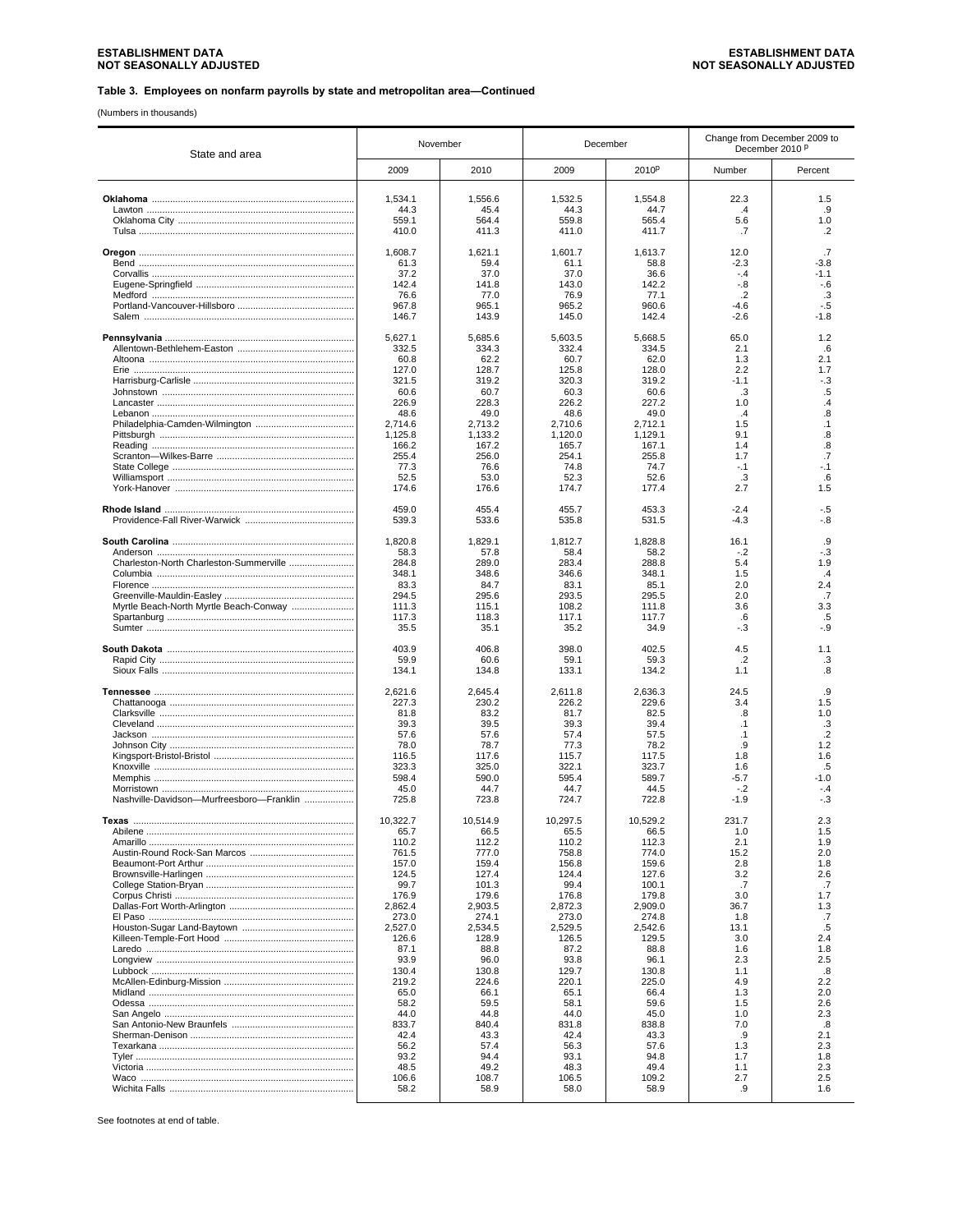(Numbers in thousands)

| State and area                           | November         |                  | December         |                   | Change from December 2009 to<br>December 2010 P |                 |
|------------------------------------------|------------------|------------------|------------------|-------------------|-------------------------------------------------|-----------------|
|                                          | 2009             | 2010             | 2009             | 2010 <sup>p</sup> | Number                                          | Percent         |
|                                          | 1,534.1          | 1,556.6          | 1,532.5          | 1,554.8           | 22.3                                            | 1.5             |
|                                          | 44.3             | 45.4             | 44.3             | 44.7              | $\cdot$ 4                                       | .9              |
|                                          | 559.1            | 564.4            | 559.8            | 565.4             | 5.6                                             | 1.0             |
|                                          | 410.0            | 411.3            | 411.0            | 411.7             | .7                                              | .2              |
|                                          | 1,608.7          | 1,621.1          | 1,601.7          | 1,613.7           | 12.0                                            | .7              |
|                                          | 61.3<br>37.2     | 59.4<br>37.0     | 61.1<br>37.0     | 58.8<br>36.6      | $-2.3$<br>$-.4$                                 | -3.8<br>-1.1    |
|                                          | 142.4            | 141.8            | 143.0            | 142.2             | $-0.8$                                          | $-6$            |
|                                          | 76.6             | 77.0             | 76.9             | 77.1              | $\cdot$ .2                                      | .3              |
|                                          | 967.8<br>146.7   | 965.1<br>143.9   | 965.2<br>145.0   | 960.6<br>142.4    | -4.6<br>$-2.6$                                  | $-.5$<br>$-1.8$ |
|                                          |                  |                  |                  |                   |                                                 |                 |
|                                          | 5,627.1          | 5.685.6          | 5,603.5          | 5,668.5           | 65.0                                            | 1.2             |
|                                          | 332.5<br>60.8    | 334.3<br>62.2    | 332.4<br>60.7    | 334.5<br>62.0     | 2.1<br>1.3                                      | .6<br>2.1       |
|                                          | 127.0            | 128.7            | 125.8            | 128.0             | 2.2                                             | 1.7             |
|                                          | 321.5            | 319.2            | 320.3            | 319.2             | $-1.1$                                          | -.3             |
|                                          | 60.6             | 60.7             | 60.3             | 60.6              | .3                                              | .5              |
|                                          | 226.9<br>48.6    | 228.3<br>49.0    | 226.2<br>48.6    | 227.2<br>49.0     | 1.0<br>$\cdot$                                  | .4<br>.8        |
|                                          | 2,714.6          | 2,713.2          | 2,710.6          | 2,712.1           | 1.5                                             | $\cdot$ 1       |
|                                          | 1,125.8          | 1,133.2          | 1,120.0          | 1,129.1           | 9.1                                             | .8              |
|                                          | 166.2<br>255.4   | 167.2<br>256.0   | 165.7<br>254.1   | 167.1<br>255.8    | 1.4<br>1.7                                      | .8<br>.7        |
|                                          | 77.3             | 76.6             | 74.8             | 74.7              | $-.1$                                           | -.1             |
|                                          | 52.5             | 53.0             | 52.3             | 52.6              | .3                                              | .6              |
|                                          | 174.6            | 176.6            | 174.7            | 177.4             | 2.7                                             | 1.5             |
|                                          | 459.0<br>539.3   | 455.4<br>533.6   | 455.7<br>535.8   | 453.3<br>531.5    | $-2.4$<br>$-4.3$                                | -.5<br>-.8      |
|                                          |                  |                  |                  |                   |                                                 |                 |
|                                          | 1,820.8<br>58.3  | 1,829.1<br>57.8  | 1,812.7<br>58.4  | 1,828.8<br>58.2   | 16.1<br>$-.2$                                   | .9<br>-.3       |
| Charleston-North Charleston-Summerville  | 284.8            | 289.0            | 283.4            | 288.8             | 5.4                                             | 1.9             |
|                                          | 348.1            | 348.6            | 346.6            | 348.1             | 1.5                                             | .4              |
|                                          | 83.3             | 84.7             | 83.1             | 85.1              | 2.0                                             | 2.4             |
| Myrtle Beach-North Myrtle Beach-Conway   | 294.5<br>111.3   | 295.6<br>115.1   | 293.5<br>108.2   | 295.5<br>111.8    | 2.0<br>3.6                                      | .7<br>3.3       |
|                                          | 117.3            | 118.3            | 117.1            | 117.7             | .6                                              | .5              |
|                                          | 35.5             | 35.1             | 35.2             | 34.9              | -.3                                             | -.9             |
|                                          | 403.9            | 406.8            | 398.0            | 402.5             | 4.5                                             | 1.1             |
|                                          | 59.9             | 60.6             | 59.1             | 59.3              | $\cdot$ .2                                      | .3              |
|                                          | 134.1            | 134.8            | 133.1            | 134.2             | 1.1                                             | .8              |
|                                          | 2,621.6          | 2,645.4          | 2,611.8          | 2,636.3           | 24.5                                            | .9              |
|                                          | 227.3<br>81.8    | 230.2<br>83.2    | 226.2<br>81.7    | 229.6<br>82.5     | 3.4<br>.8                                       | 1.5<br>1.0      |
|                                          | 39.3             | 39.5             | 39.3             | 39.4              | $\cdot$ 1                                       | .3              |
|                                          | 57.6             | 57.6             | 57.4             | 57.5              | $\cdot$ 1                                       | $\cdot$         |
|                                          | 78.0<br>116.5    | 78.7<br>117.6    | 77.3<br>115.7    | 78.2<br>117.5     | .9<br>1.8                                       | 1.2<br>1.6      |
|                                          | 323.3            | 325.0            | 322.1            | 323.7             | 1.6                                             | .5              |
|                                          | 598.4            | 590.0            | 595.4            | 589.7             | $-5.7$                                          | $-1.0$          |
|                                          | 45.0             | 44.7             | 44.7             | 44.5              | $-.2$                                           | - 4             |
| Nashville-Davidson-Murfreesboro-Franklin | 725.8            | 723.8            | 724.7            | 722.8             | $-1.9$                                          | $-.3$           |
| Texas                                    | 10.322.7         | 10.514.9         | 10.297.5         | 10.529.2          | 231.7                                           | 2.3             |
|                                          | 65.7<br>110.2    | 66.5<br>112.2    | 65.5<br>110.2    | 66.5<br>112.3     | 1.0<br>2.1                                      | 1.5<br>1.9      |
|                                          | 761.5            | 777.0            | 758.8            | 774.0             | 15.2                                            | 2.0             |
|                                          | 157.0            | 159.4            | 156.8            | 159.6             | 2.8                                             | 1.8             |
|                                          | 124.5<br>99.7    | 127.4<br>101.3   | 124.4<br>99.4    | 127.6<br>100.1    | 3.2<br>.7                                       | 2.6<br>.7       |
|                                          | 176.9            | 179.6            | 176.8            | 179.8             | 3.0                                             | 1.7             |
|                                          | 2,862.4          | 2.903.5          | 2.872.3          | 2,909.0           | 36.7                                            | 1.3             |
|                                          | 273.0            | 274.1<br>2,534.5 | 273.0<br>2,529.5 | 274.8<br>2,542.6  | 1.8<br>13.1                                     | .7<br>.5        |
|                                          | 2,527.0<br>126.6 | 128.9            | 126.5            | 129.5             | 3.0                                             | 2.4             |
|                                          | 87.1             | 88.8             | 87.2             | 88.8              | 1.6                                             | 1.8             |
|                                          | 93.9             | 96.0             | 93.8             | 96.1              | 2.3                                             | 2.5             |
|                                          | 130.4<br>219.2   | 130.8<br>224.6   | 129.7<br>220.1   | 130.8<br>225.0    | 1.1<br>4.9                                      | .8<br>2.2       |
|                                          | 65.0             | 66.1             | 65.1             | 66.4              | 1.3                                             | 2.0             |
|                                          | 58.2             | 59.5             | 58.1             | 59.6              | 1.5                                             | 2.6             |
|                                          | 44.0<br>833.7    | 44.8<br>840.4    | 44.0<br>831.8    | 45.0<br>838.8     | 1.0<br>7.0                                      | 2.3<br>.8       |
|                                          | 42.4             | 43.3             | 42.4             | 43.3              | .9                                              | 2.1             |
|                                          | 56.2             | 57.4             | 56.3             | 57.6              | 1.3                                             | 2.3             |
|                                          | 93.2             | 94.4             | 93.1             | 94.8              | 1.7                                             | 1.8             |
|                                          | 48.5<br>106.6    | 49.2<br>108.7    | 48.3<br>106.5    | 49.4<br>109.2     | 1.1<br>2.7                                      | 2.3<br>2.5      |
|                                          | 58.2             | 58.9             | 58.0             | 58.9              | .9                                              | 1.6             |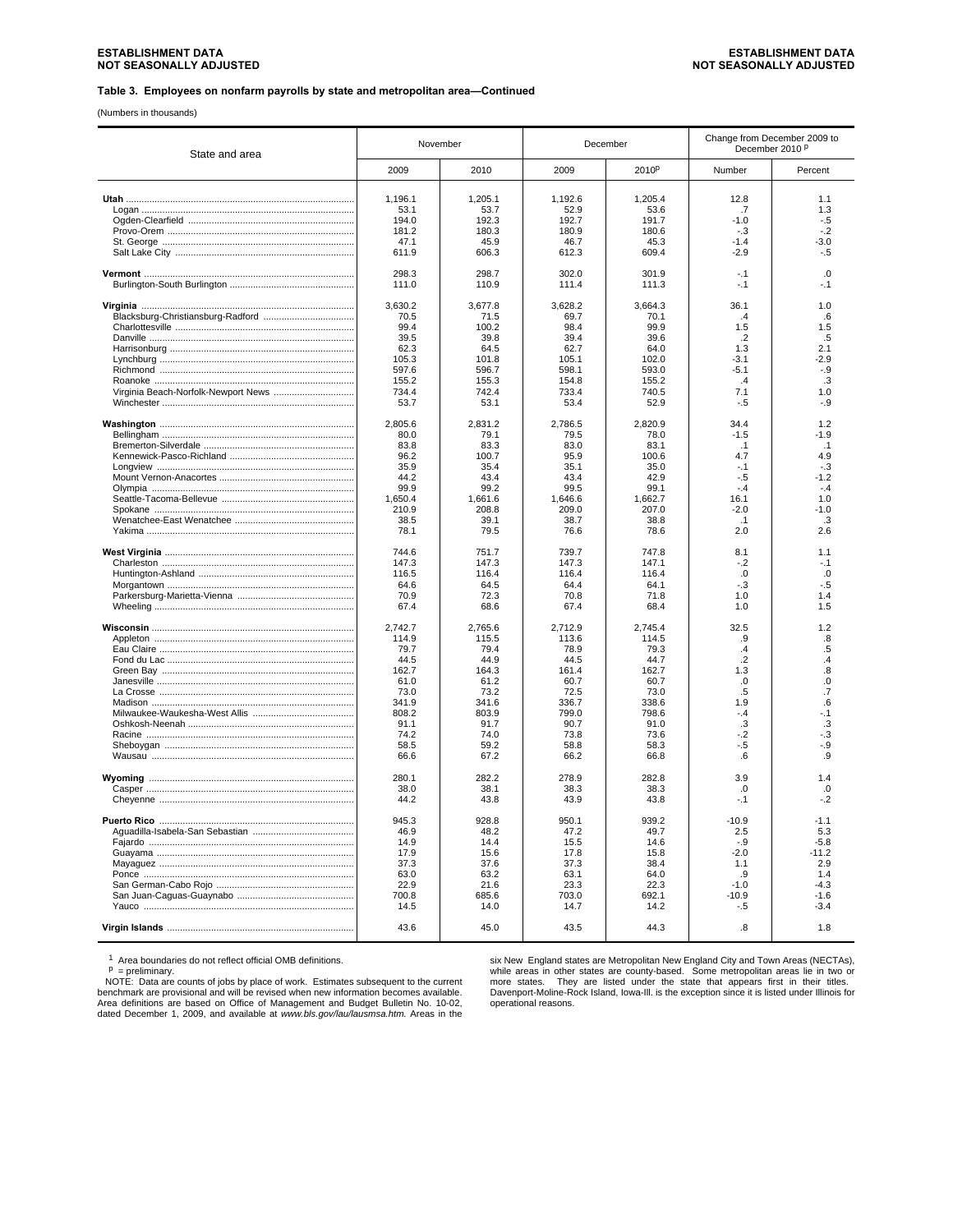(Numbers in thousands)

| State and area | November     |              | December     |              | Change from December 2009 to<br>December 2010 <sup>P</sup> |                         |
|----------------|--------------|--------------|--------------|--------------|------------------------------------------------------------|-------------------------|
|                | 2009         | 2010         | 2009         | 2010P        | Number                                                     | Percent                 |
|                | 1,196.1      | 1,205.1      | 1,192.6      | 1,205.4      | 12.8                                                       | 1.1                     |
|                | 53.1         | 53.7         | 52.9         | 53.6         | .7                                                         | 1.3                     |
|                | 194.0        | 192.3        | 192.7        | 191.7        | $-1.0$                                                     | -.5                     |
|                | 181.2        | 180.3        | 180.9        | 180.6        | $-.3$                                                      | $-2$                    |
|                | 47.1         | 45.9         | 46.7         | 45.3         | $-1.4$                                                     | $-3.0$                  |
|                | 611.9        | 606.3        | 612.3        | 609.4        | $-2.9$                                                     | $-.5$                   |
|                | 298.3        | 298.7        | 302.0        | 301.9        | $-.1$                                                      | .0                      |
|                | 111.0        | 110.9        | 111.4        | 111.3        | $-1$                                                       | $-1$                    |
|                | 3.630.2      | 3,677.8      | 3,628.2      | 3,664.3      | 36.1                                                       | 1.0                     |
|                | 70.5         | 71.5         | 69.7         | 70.1         | $\overline{a}$                                             | 6                       |
|                | 99.4         | 100.2        | 98.4         | 99.9         | 1.5                                                        | 1.5                     |
|                | 39.5         | 39.8         | 39.4         | 39.6         | $.2\phantom{0}$                                            | .5                      |
|                | 62.3         | 64.5         | 62.7         | 64.0         | 1.3                                                        | 2.1                     |
|                | 105.3        | 101.8        | 105.1        | 102.0        | $-3.1$                                                     | $-2.9$                  |
|                | 597.6        | 596.7        | 598.1        | 593.0        | -5.1                                                       | -.9                     |
|                | 155.2        | 155.3        | 154.8        | 155.2        | $\mathcal{A}$                                              | .3                      |
|                | 734.4        | 742.4        | 733.4        | 740.5        | 7.1                                                        | 1.0                     |
|                | 53.7         | 53.1         | 53.4         | 52.9         | - 5                                                        | $-.9$                   |
|                | 2,805.6      | 2,831.2      | 2,786.5      | 2,820.9      | 34.4                                                       | 1.2                     |
|                | 80.0         | 79.1         | 79.5         | 78.0         | $-1.5$                                                     | $-1.9$                  |
|                | 83.8         | 83.3         | 83.0         | 83.1         | .1                                                         | $\cdot$ 1               |
|                | 96.2         | 100.7        | 95.9         | 100.6        | 4.7                                                        | 4.9                     |
|                | 35.9         | 35.4         | 35.1         | 35.0         | $-.1$                                                      | $-.3$                   |
|                | 44.2         | 43.4         | 43.4         | 42.9         | $-.5$                                                      | $-1.2$                  |
|                | 99.9         | 99.2         | 99.5         | 99.1         | $-.4$                                                      | $-4$                    |
|                | 1,650.4      | 1,661.6      | 1,646.6      | 1,662.7      | 16.1                                                       | 1.0                     |
|                | 210.9        | 208.8        | 209.0        | 207.0        | $-2.0$                                                     | $-1.0$                  |
|                | 38.5<br>78.1 | 39.1<br>79.5 | 38.7<br>76.6 | 38.8<br>78.6 | $\cdot$ 1<br>2.0                                           | $\mathbf{3}$<br>2.6     |
|                | 744.6        | 751.7        | 739.7        | 747.8        | 8.1                                                        | 1.1                     |
|                | 147.3        | 147.3        | 147.3        | 147.1        | $-.2$                                                      | $-1$                    |
|                | 116.5        | 116.4        | 116.4        | 116.4        | .0                                                         | $\Omega$                |
|                | 64.6         | 64.5         | 64.4         | 64.1         | $-.3$                                                      | $-5$                    |
|                | 70.9         | 72.3         | 70.8         | 71.8         | 1.0                                                        | 1.4                     |
|                | 67.4         | 68.6         | 67.4         | 68.4         | 1.0                                                        | 1.5                     |
|                | 2,742.7      | 2,765.6      | 2,712.9      | 2,745.4      | 32.5                                                       | 1.2                     |
|                | 114.9        | 115.5        | 113.6        | 114.5        | .9                                                         | .8                      |
|                | 79.7         | 79.4         | 78.9         | 79.3         | $\mathcal{A}$                                              | .5                      |
|                | 44.5         | 44.9         | 44.5         | 44.7         | $\cdot$ .2                                                 | $\overline{.4}$         |
|                | 162.7        | 164.3        | 161.4        | 162.7        | 1.3                                                        | $\overline{\mathbf{8}}$ |
|                | 61.0         | 61.2         | 60.7         | 60.7         | .0                                                         | $\overline{0}$          |
|                | 73.0         | 73.2         | 72.5         | 73.0         | $.5\,$                                                     | $\overline{.7}$         |
|                | 341.9        | 341.6        | 336.7        | 338.6        | 1.9                                                        | .6                      |
|                | 808.2        | 803.9        | 799.0        | 798.6        | $-4$                                                       | - 1                     |
|                | 91.1         | 91.7         | 90.7         | 91.0         | .3                                                         | .3                      |
|                | 74.2         | 74.0         | 73.8         | 73.6         | $-2$                                                       | -.3                     |
|                | 58.5<br>66.6 | 59.2<br>67.2 | 58.8<br>66.2 | 58.3<br>66.8 | $-.5$<br>6                                                 | $-0.9$<br>.9            |
|                | 280.1        | 282.2        | 278.9        | 282.8        | 3.9                                                        | 1.4                     |
|                | 38.0         | 38.1         | 38.3         | 38.3         | .0                                                         | .0                      |
|                | 44.2         | 43.8         | 43.9         | 43.8         | $-.1$                                                      | $-2$                    |
|                |              |              |              |              |                                                            |                         |
|                | 945.3        | 928.8        | 950.1        | 939.2        | $-10.9$                                                    | $-1.1$                  |
|                | 46.9         | 48.2         | 47.2         | 49.7         | 2.5                                                        | 5.3                     |
|                | 14.9         | 14.4         | 15.5         | 14.6         | $-.9$                                                      | $-5.8$                  |
|                | 17.9         | 15.6         | 17.8         | 15.8         | $-2.0$                                                     | -11.2                   |
|                | 37.3         | 37.6         | 37.3         | 38.4         | 1.1                                                        | 2.9                     |
|                | 63.0         | 63.2         | 63.1         | 64.0         | .9                                                         | 1.4                     |
|                | 22.9         | 21.6         | 23.3         | 22.3         | $-1.0$                                                     | $-4.3$                  |
|                | 700.8        | 685.6        | 703.0        | 692.1        | $-10.9$                                                    | -16                     |
|                | 14.5         | 14.0         | 14.7         | 14.2         | $-.5$                                                      | $-3.4$                  |
|                | 43.6         | 45.0         | 43.5         | 44.3         | $\boldsymbol{.8}$                                          | 1.8                     |

<sup>1</sup> Area boundaries do not reflect official OMB definitions.<br><sup>P</sup> = preliminary.<br>NOTE: Data are counts of jobs by place of work. Estimates subsequent to the current<br>benchmark are provisional and will be revised when new in

six New England states are Metropolitan New England City and Town Areas (NECTAs), while areas in other states are county-based. Some metropolitan areas lie in two or<br>more states. They are listed under the state that appears first in their titles.<br>Davenport-Moline-Rock Island, lowa-III. is the exceptio operational reasons.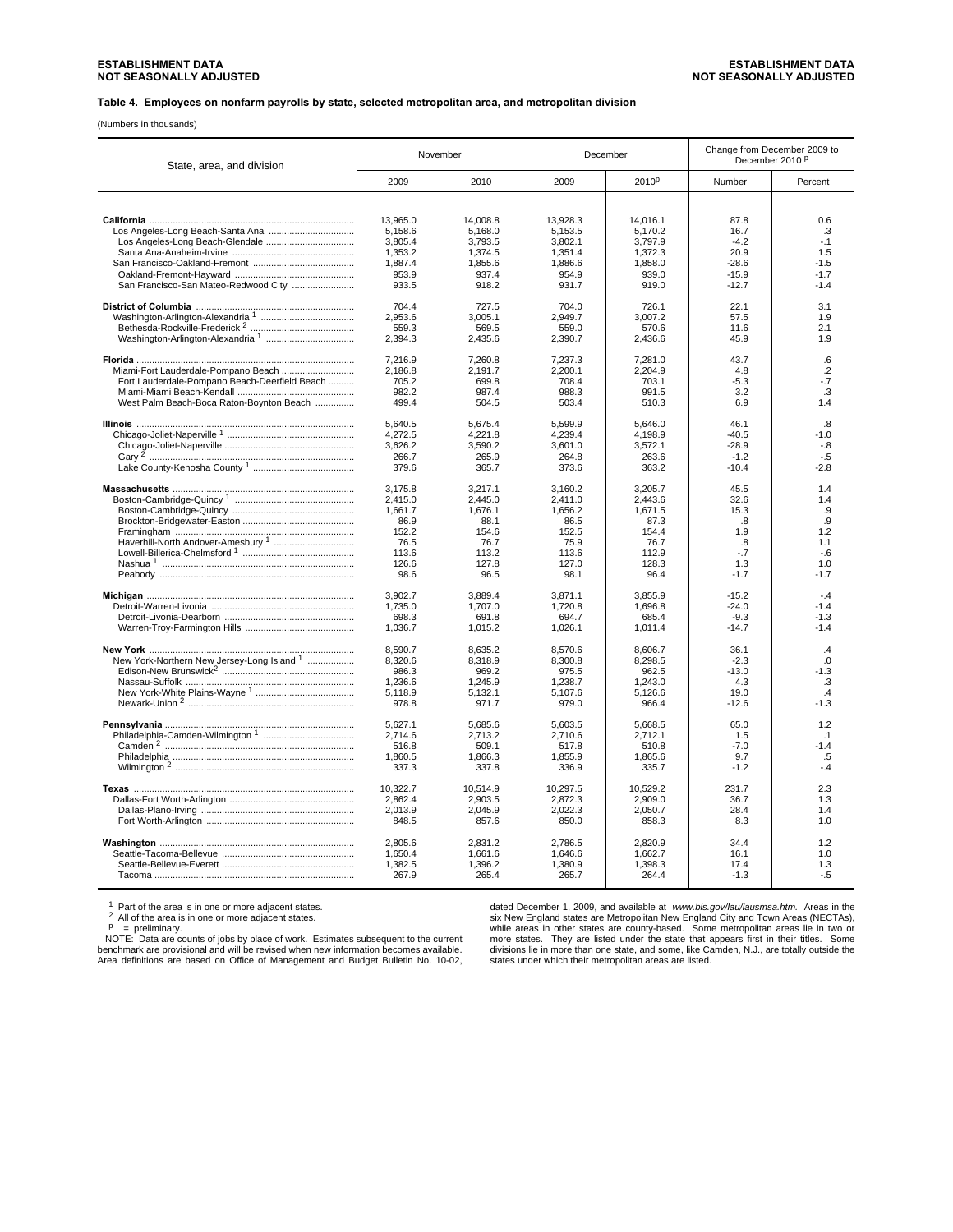**Table 4. Employees on nonfarm payrolls by state, selected metropolitan area, and metropolitan division**

(Numbers in thousands)

| State, area, and division                     | November         |                  | December         |                  | Change from December 2009 to<br>December 2010 <sup>P</sup> |                          |
|-----------------------------------------------|------------------|------------------|------------------|------------------|------------------------------------------------------------|--------------------------|
|                                               | 2009             | 2010             | 2009             | 2010P            | Number                                                     | Percent                  |
|                                               |                  |                  |                  |                  |                                                            |                          |
|                                               | 13,965.0         | 14,008.8         | 13,928.3         | 14,016.1         | 87.8                                                       | 0.6                      |
|                                               | 5,158.6          | 5,168.0          | 5,153.5          | 5,170.2          | 16.7                                                       | .3                       |
|                                               | 3.805.4          | 3,793.5          | 3.802.1          | 3,797.9          | $-4.2$                                                     | $-1$                     |
|                                               | 1.353.2          | 1,374.5          | 1,351.4          | 1.372.3          | 20.9                                                       | 1.5                      |
|                                               | 1,887.4<br>953.9 | 1,855.6          | 1,886.6          | 1,858.0          | $-28.6$<br>$-15.9$                                         | $-1.5$<br>$-1.7$         |
| San Francisco-San Mateo-Redwood City          | 933.5            | 937.4<br>918.2   | 954.9<br>931.7   | 939.0<br>919.0   | $-12.7$                                                    | $-1.4$                   |
|                                               |                  |                  |                  |                  |                                                            |                          |
|                                               | 704.4            | 727.5            | 704.0            | 726.1            | 22.1                                                       | 3.1                      |
|                                               | 2.953.6          | 3.005.1          | 2.949.7          | 3.007.2          | 57.5                                                       | 1.9                      |
|                                               | 559.3            | 569.5            | 559.0            | 570.6            | 11.6                                                       | 2.1                      |
|                                               | 2,394.3          | 2,435.6          | 2,390.7          | 2,436.6          | 45.9                                                       | 1.9                      |
|                                               | 7.216.9          | 7.260.8          | 7.237.3          | 7,281.0          | 43.7                                                       | .6                       |
| Miami-Fort Lauderdale-Pompano Beach           | 2.186.8          | 2.191.7          | 2.200.1          | 2.204.9          | 4.8                                                        | $\overline{2}$           |
| Fort Lauderdale-Pompano Beach-Deerfield Beach | 705.2            | 699.8            | 708.4            | 703.1            | $-5.3$                                                     | $-7$                     |
|                                               | 982.2            | 987.4            | 988.3            | 991.5            | 3.2                                                        | .3                       |
| West Palm Beach-Boca Raton-Boynton Beach      | 499.4            | 504.5            | 503.4            | 510.3            | 6.9                                                        | 1.4                      |
|                                               | 5,640.5          | 5,675.4          | 5,599.9          | 5,646.0          | 46.1                                                       | .8                       |
|                                               | 4,272.5          | 4.221.8          | 4.239.4          | 4.198.9          | $-40.5$                                                    | $-1.0$                   |
|                                               | 3,626.2          | 3,590.2          | 3,601.0          | 3,572.1          | $-28.9$                                                    | $-8$                     |
|                                               | 266.7            | 265.9            | 264.8            | 263.6            | $-1.2$                                                     | $-.5$                    |
|                                               | 379.6            | 365.7            | 373.6            | 363.2            | $-10.4$                                                    | $-2.8$                   |
|                                               | 3,175.8          | 3,217.1          | 3,160.2          | 3,205.7          | 45.5                                                       | 1.4                      |
|                                               | 2,415.0          | 2,445.0          | 2,411.0          | 2,443.6          | 32.6                                                       | 1.4                      |
|                                               | 1,661.7          | 1,676.1          | 1,656.2          | 1,671.5          | 15.3                                                       | .9                       |
|                                               | 86.9             | 88.1             | 86.5             | 87.3             | .8                                                         | .9                       |
|                                               | 152.2            | 154.6            | 152.5            | 154.4            | 1.9                                                        | 1.2                      |
|                                               | 76.5             | 76.7             | 75.9             | 76.7             | .8                                                         | 1.1                      |
|                                               | 113.6            | 113.2            | 113.6            | 112.9            | $-7$                                                       | $-6$                     |
|                                               | 126.6            | 127.8            | 127.0            | 128.3            | 1.3                                                        | 1.0                      |
|                                               | 98.6             | 96.5             | 98.1             | 96.4             | $-1.7$                                                     | $-1.7$                   |
|                                               | 3,902.7          | 3,889.4          | 3,871.1          | 3,855.9          | $-15.2$                                                    | $-4$                     |
|                                               | 1,735.0          | 1,707.0          | 1,720.8          | 1,696.8          | $-24.0$                                                    | $-1.4$                   |
|                                               | 698.3            | 691.8            | 694.7            | 685.4            | $-9.3$                                                     | $-1.3$                   |
|                                               | 1,036.7          | 1,015.2          | 1,026.1          | 1,011.4          | $-14.7$                                                    | $-1.4$                   |
|                                               | 8,590.7          | 8,635.2          | 8,570.6          | 8,606.7          | 36.1                                                       | $\overline{A}$           |
| New York-Northern New Jersey-Long Island 1    | 8,320.6          | 8,318.9          | 8,300.8          | 8,298.5          | $-2.3$                                                     | .0                       |
|                                               | 986.3            | 969.2            | 975.5            | 962.5            | $-13.0$                                                    | $-1.3$                   |
|                                               | 1,236.6          | 1,245.9          | 1,238.7          | 1,243.0          | 4.3                                                        | .3                       |
|                                               | 5,118.9<br>978.8 | 5,132.1<br>971.7 | 5,107.6<br>979.0 | 5,126.6<br>966.4 | 19.0<br>$-12.6$                                            | $\cdot$<br>$-1.3$        |
|                                               |                  |                  |                  |                  |                                                            |                          |
|                                               | 5,627.1          | 5,685.6          | 5,603.5          | 5,668.5          | 65.0                                                       | 1.2                      |
|                                               | 2,714.6<br>516.8 | 2,713.2<br>509.1 | 2,710.6<br>517.8 | 2,712.1<br>510.8 | 1.5<br>$-7.0$                                              | $\overline{1}$<br>$-1.4$ |
|                                               | 1,860.5          | 1,866.3          | 1,855.9          | 1,865.6          | 9.7                                                        | .5                       |
|                                               | 337.3            | 337.8            | 336.9            | 335.7            | $-1.2$                                                     | $-.4$                    |
|                                               | 10.322.7         | 10,514.9         | 10,297.5         | 10,529.2         | 231.7                                                      | 2.3                      |
|                                               | 2,862.4          | 2,903.5          | 2,872.3          | 2,909.0          | 36.7                                                       | 1.3                      |
|                                               | 2,013.9          | 2,045.9          | 2,022.3          | 2,050.7          | 28.4                                                       | 1.4                      |
|                                               | 848.5            | 857.6            | 850.0            | 858.3            | 8.3                                                        | 1.0                      |
|                                               | 2,805.6          | 2,831.2          | 2,786.5          | 2,820.9          | 34.4                                                       | 1.2                      |
|                                               | 1.650.4          | 1.661.6          | 1.646.6          | 1.662.7          | 16.1                                                       | 1.0                      |
|                                               | 1,382.5          | 1,396.2          | 1,380.9          | 1,398.3          | 17.4                                                       | 1.3                      |
|                                               | 267.9            | 265.4            | 265.7            | 264.4            | $-1.3$                                                     | $-.5$                    |
|                                               |                  |                  |                  |                  |                                                            |                          |

<sup>1</sup> Part of the area is in one or more adjacent states.<br>
<sup>2</sup> All of the area is in one or more adjacent states.<br>
<sup>P</sup> = preliminary.<br>
NOTE: Data are counts of jobs by place of work. Estimates subsequent to the current<br>
NOT

dated December 1, 2009, and available at *www.bls.gov/lau/lausmsa.htm.* Areas in the six New England states are Metropolitan New England City and Town Areas (NECTAs),<br>while areas in other states are county-based. Some metropolitan areas lie in two or<br>more states. They are listed under the state that appear states under which their metropolitan areas are listed.